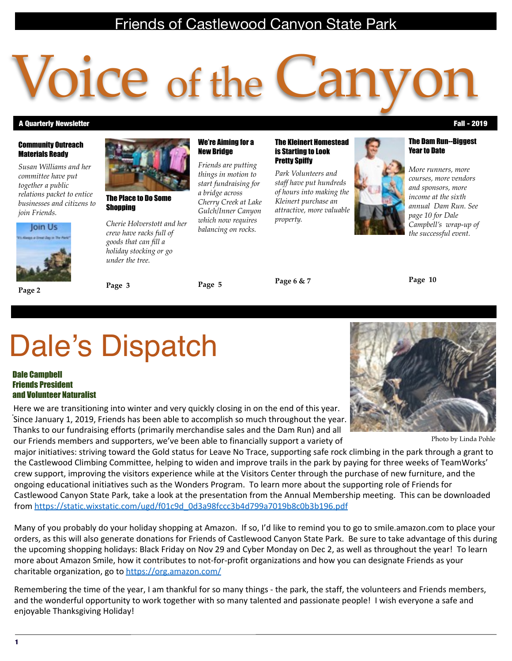### Friends of Castlewood Canyon State Park

# O1Ce of the C

We're Aiming for a New Bridge

*Friends are putting things in motion to start fundraising for a bridge across Cherry Creek at Lake Gulch/Inner Canyon which now requires balancing on rocks.* 

#### A Quarterly Newsletter Fall - 2019

#### Community Outreach Materials Ready

*Susan Williams and her committee have put together a public relations packet to entice businesses and citizens to join Friends.*



**Page 2**



#### The Place to Do Some **Shopping**

*Cherie Holverstott and her crew have racks full of goods that can fill a holiday stocking or go under the tree.*

**Page 5**

**Page 6 & 7**

*property.*

The Kleinert Homestead is Starting to Look Pretty Spiffy

*Park Volunteers and staff have put hundreds of hours into making the Kleinert purchase an attractive, more valuable* 

**Page 10**

## Dale's Dispatch

**Page 3**

#### Dale Campbell Friends President and Volunteer Naturalist

Here we are transitioning into winter and very quickly closing in on the end of this year. Since January 1, 2019, Friends has been able to accomplish so much throughout the year. Thanks to our fundraising efforts (primarily merchandise sales and the Dam Run) and all our Friends members and supporters, we've been able to financially support a variety of Photo by Linda Pohle



major initiatives: striving toward the Gold status for Leave No Trace, supporting safe rock climbing in the park through a grant to the Castlewood Climbing Committee, helping to widen and improve trails in the park by paying for three weeks of TeamWorks' crew support, improving the visitors experience while at the Visitors Center through the purchase of new furniture, and the ongoing educational initiatives such as the Wonders Program. To learn more about the supporting role of Friends for Castlewood Canyon State Park, take a look at the presentation from the Annual Membership meeting. This can be downloaded from https://static.wixstatic.com/ugd/f01c9d\_0d3a98fccc3b4d799a7019b8c0b3b196.pdf

Many of you probably do your holiday shopping at Amazon. If so, I'd like to remind you to go to smile.amazon.com to place your orders, as this will also generate donations for Friends of Castlewood Canyon State Park. Be sure to take advantage of this during the upcoming shopping holidays: Black Friday on Nov 29 and Cyber Monday on Dec 2, as well as throughout the year! To learn more about Amazon Smile, how it contributes to not-for-profit organizations and how you can designate Friends as your charitable organization, go to https://org.amazon.com/

Remembering the time of the year, I am thankful for so many things - the park, the staff, the volunteers and Friends members, and the wonderful opportunity to work together with so many talented and passionate people! I wish everyone a safe and enjoyable Thanksgiving Holiday!

#### 1

The Dam Run--Biggest

*More runners, more courses, more vendors and sponsors, more income at the sixth annual Dam Run. See page 10 for Dale Campbell's wrap-up of the successful event.*

Year to Date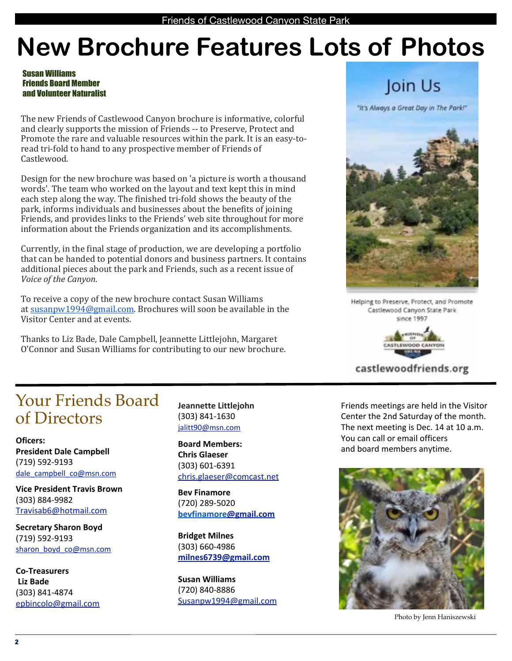### **New Brochure Features Lots of Photos**

Susan Williams Friends Board Member and Volunteer Naturalist

The new Friends of Castlewood Canyon brochure is informative, colorful and clearly supports the mission of Friends -- to Preserve, Protect and Promote the rare and valuable resources within the park. It is an easy-toread tri-fold to hand to any prospective member of Friends of Castlewood.

Design for the new brochure was based on 'a picture is worth a thousand words'. The team who worked on the layout and text kept this in mind each step along the way. The finished tri-fold shows the beauty of the park, informs individuals and businesses about the benefits of joining Friends, and provides links to the Friends' web site throughout for more information about the Friends organization and its accomplishments.

Currently, in the final stage of production, we are developing a portfolio that can be handed to potential donors and business partners. It contains additional pieces about the park and Friends, such as a recent issue of *Voice of the Canyon.* 

To receive a copy of the new brochure contact Susan Williams at  $susanpw1994@gmail.com$ . Brochures will soon be available in the Visitor Center and at events.

Thanks to Liz Bade, Dale Campbell, Jeannette Littlejohn, Margaret O'Connor and Susan Williams for contributing to our new brochure.

### Your Friends Board of Directors

**Oficers: President Dale Campbell** (719) 592-9193 dale\_campbell\_co@msn.com

**Vice President Travis Brown** (303) 884-9982 Travisab6@hotmail.com

**Secretary Sharon Boyd** (719) 592-9193 sharon\_boyd\_co@msn.com

**Co-Treasurers Liz Bade** (303) 841-4874 epbincolo@gmail.com **Jeannette Littlejohn** (303) 841-1630 jalitt90@msn.com

**Board Members: Chris Glaeser** (303) 601-6391 chris.glaeser@comcast.net

**Bev Finamore** (720) 289-5020 **bevfinamore@gmail.com**

**Bridget Milnes** (303) 660-4986 **milnes6739@gmail.com**

**Susan Williams** (720) 840-8886 Susanpw1994@gmail.com

### Join Us

"It's Always a Great Day in The Park!"



Helping to Preserve, Protect, and Promote Castlewood Canyon State Park since 1997



castlewoodfriends.org

Friends meetings are held in the Visitor Center the 2nd Saturday of the month. The next meeting is Dec. 14 at 10 a.m. You can call or email officers and board members anytime.



Photo by Jenn Haniszewski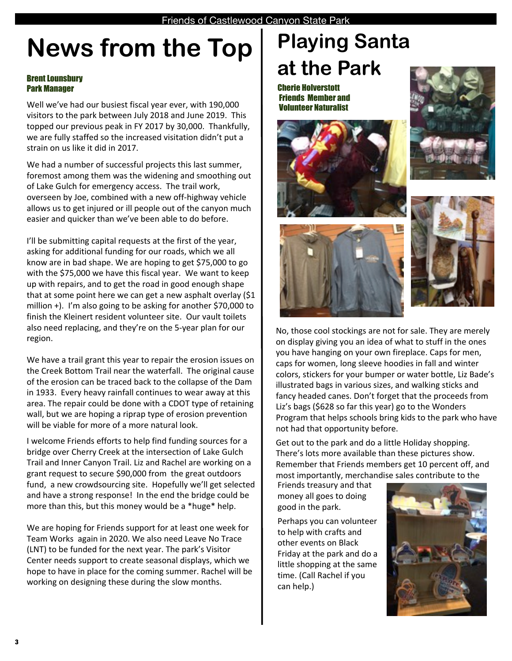### **News from the Top**

### Brent Lounsbury Park Manager

Well we've had our busiest fiscal year ever, with 190,000 visitors to the park between July 2018 and June 2019. This topped our previous peak in FY 2017 by 30,000. Thankfully, we are fully staffed so the increased visitation didn't put a strain on us like it did in 2017.

We had a number of successful projects this last summer, foremost among them was the widening and smoothing out of Lake Gulch for emergency access. The trail work, overseen by Joe, combined with a new off-highway vehicle allows us to get injured or ill people out of the canyon much easier and quicker than we've been able to do before.

I'll be submitting capital requests at the first of the year, asking for additional funding for our roads, which we all know are in bad shape. We are hoping to get \$75,000 to go with the \$75,000 we have this fiscal year. We want to keep up with repairs, and to get the road in good enough shape that at some point here we can get a new asphalt overlay (\$1 million  $+$ ). I'm also going to be asking for another \$70,000 to finish the Kleinert resident volunteer site. Our vault toilets also need replacing, and they're on the 5-year plan for our region.

We have a trail grant this year to repair the erosion issues on the Creek Bottom Trail near the waterfall. The original cause of the erosion can be traced back to the collapse of the Dam in 1933. Every heavy rainfall continues to wear away at this area. The repair could be done with a CDOT type of retaining wall, but we are hoping a riprap type of erosion prevention will be viable for more of a more natural look.

I welcome Friends efforts to help find funding sources for a bridge over Cherry Creek at the intersection of Lake Gulch Trail and Inner Canyon Trail. Liz and Rachel are working on a grant request to secure \$90,000 from the great outdoors fund, a new crowdsourcing site. Hopefully we'll get selected and have a strong response! In the end the bridge could be more than this, but this money would be a \*huge\* help.

We are hoping for Friends support for at least one week for Team Works again in 2020. We also need Leave No Trace (LNT) to be funded for the next year. The park's Visitor Center needs support to create seasonal displays, which we hope to have in place for the coming summer. Rachel will be working on designing these during the slow months.

### **Playing Santa at the Park**

Cherie Holverstott Friends Member and Volunteer Naturalist









No, those cool stockings are not for sale. They are merely on display giving you an idea of what to stuff in the ones you have hanging on your own fireplace. Caps for men, caps for women, long sleeve hoodies in fall and winter colors, stickers for your bumper or water bottle, Liz Bade's illustrated bags in various sizes, and walking sticks and fancy headed canes. Don't forget that the proceeds from Liz's bags (\$628 so far this year) go to the Wonders Program that helps schools bring kids to the park who have not had that opportunity before.

Get out to the park and do a little Holiday shopping. There's lots more available than these pictures show. Remember that Friends members get 10 percent off, and most importantly, merchandise sales contribute to the

Friends treasury and that money all goes to doing good in the park.

Perhaps you can volunteer to help with crafts and other events on Black Friday at the park and do a little shopping at the same time. (Call Rachel if you can help.)

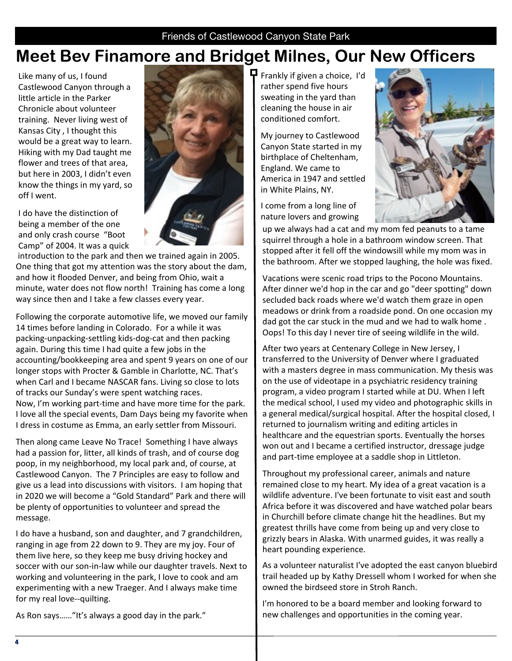### **Meet Bev Finamore and Bridget Milnes, Our New Officers**

Like many of us, I found Castlewood Canyon through a little article in the Parker Chronicle about volunteer training. Never living west of Kansas City, I thought this would be a great way to learn. Hiking with my Dad taught me flower and trees of that area, but here in 2003, I didn't even know the things in my yard, so off I went.

I do have the distinction of being a member of the one and only crash course "Boot Camp" of 2004. It was a quick



introduction to the park and then we trained again in 2005. One thing that got my attention was the story about the dam, and how it flooded Denver, and being from Ohio, wait a minute, water does not flow north! Training has come a long way since then and I take a few classes every year.

Following the corporate automotive life, we moved our family 14 times before landing in Colorado. For a while it was packing-unpacking-settling kids-dog-cat and then packing again. During this time I had quite a few jobs in the accounting/bookkeeping area and spent 9 years on one of our longer stops with Procter & Gamble in Charlotte, NC. That's when Carl and I became NASCAR fans. Living so close to lots of tracks our Sunday's were spent watching races. Now, I'm working part-time and have more time for the park. I love all the special events, Dam Days being my favorite when I dress in costume as Emma, an early settler from Missouri.

Then along came Leave No Trace! Something I have always had a passion for, litter, all kinds of trash, and of course dog poop, in my neighborhood, my local park and, of course, at Castlewood Canyon. The 7 Principles are easy to follow and give us a lead into discussions with visitors. I am hoping that in 2020 we will become a "Gold Standard" Park and there will be plenty of opportunities to volunteer and spread the message. 

I do have a husband, son and daughter, and 7 grandchildren, ranging in age from 22 down to 9. They are my joy. Four of them live here, so they keep me busy driving hockey and soccer with our son-in-law while our daughter travels. Next to working and volunteering in the park, I love to cook and am experimenting with a new Traeger. And I always make time for my real love--quilting.

 $\mathbf \Pi$  Frankly if given a choice, I'd rather spend five hours sweating in the yard than cleaning the house in air conditioned comfort.

My journey to Castlewood Canyon State started in my birthplace of Cheltenham, England. We came to America in 1947 and settled in White Plains, NY.

I come from a long line of nature lovers and growing



up we always had a cat and my mom fed peanuts to a tame squirrel through a hole in a bathroom window screen. That stopped after it fell off the windowsill while my mom was in the bathroom. After we stopped laughing, the hole was fixed.

Vacations were scenic road trips to the Pocono Mountains. After dinner we'd hop in the car and go "deer spotting" down secluded back roads where we'd watch them graze in open meadows or drink from a roadside pond. On one occasion my dad got the car stuck in the mud and we had to walk home. Oops! To this day I never tire of seeing wildlife in the wild.

After two years at Centenary College in New Jersey, I transferred to the University of Denver where I graduated with a masters degree in mass communication. My thesis was on the use of videotape in a psychiatric residency training program, a video program I started while at DU. When I left the medical school, I used my video and photographic skills in a general medical/surgical hospital. After the hospital closed, I returned to journalism writing and editing articles in healthcare and the equestrian sports. Eventually the horses won out and I became a certified instructor, dressage judge and part-time employee at a saddle shop in Littleton.

Throughout my professional career, animals and nature remained close to my heart. My idea of a great vacation is a wildlife adventure. I've been fortunate to visit east and south Africa before it was discovered and have watched polar bears in Churchill before climate change hit the headlines. But my greatest thrills have come from being up and very close to grizzly bears in Alaska. With unarmed guides, it was really a heart pounding experience.

As a volunteer naturalist I've adopted the east canyon bluebird trail headed up by Kathy Dressell whom I worked for when she owned the birdseed store in Stroh Ranch.

I'm honored to be a board member and looking forward to new challenges and opportunities in the coming year.

As Ron says......"It's always a good day in the park."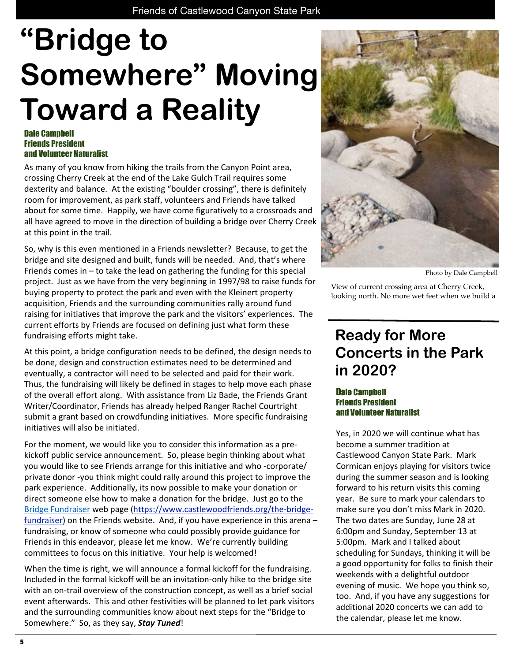# **"Bridge to Somewhere" Moving Toward a Reality**

#### Dale Campbell Friends President and Volunteer Naturalist

As many of you know from hiking the trails from the Canyon Point area, crossing Cherry Creek at the end of the Lake Gulch Trail requires some dexterity and balance. At the existing "boulder crossing", there is definitely room for improvement, as park staff, volunteers and Friends have talked about for some time. Happily, we have come figuratively to a crossroads and all have agreed to move in the direction of building a bridge over Cherry Creek at this point in the trail.

So, why is this even mentioned in a Friends newsletter? Because, to get the bridge and site designed and built, funds will be needed. And, that's where Friends comes in  $-$  to take the lead on gathering the funding for this special project. Just as we have from the very beginning in 1997/98 to raise funds for buying property to protect the park and even with the Kleinert property acquisition, Friends and the surrounding communities rally around fund raising for initiatives that improve the park and the visitors' experiences. The current efforts by Friends are focused on defining just what form these fundraising efforts might take.

At this point, a bridge configuration needs to be defined, the design needs to be done, design and construction estimates need to be determined and eventually, a contractor will need to be selected and paid for their work. Thus, the fundraising will likely be defined in stages to help move each phase of the overall effort along. With assistance from Liz Bade, the Friends Grant Writer/Coordinator, Friends has already helped Ranger Rachel Courtright submit a grant based on crowdfunding initiatives. More specific fundraising initiatives will also be initiated.

For the moment, we would like you to consider this information as a prekickoff public service announcement. So, please begin thinking about what you would like to see Friends arrange for this initiative and who -corporate/ private donor -you think might could rally around this project to improve the park experience. Additionally, its now possible to make your donation or direct someone else how to make a donation for the bridge. Just go to the Bridge Fundraiser web page (https://www.castlewoodfriends.org/the-bridgefundraiser) on the Friends website. And, if you have experience in this arena  $$ fundraising, or know of someone who could possibly provide guidance for Friends in this endeavor, please let me know. We're currently building committees to focus on this initiative. Your help is welcomed!

When the time is right, we will announce a formal kickoff for the fundraising. Included in the formal kickoff will be an invitation-only hike to the bridge site with an on-trail overview of the construction concept, as well as a brief social event afterwards. This and other festivities will be planned to let park visitors and the surrounding communities know about next steps for the "Bridge to Somewhere." So, as they say, **Stay Tuned!** 



Photo by Dale Campbell

View of current crossing area at Cherry Creek, looking north. No more wet feet when we build a

### **Ready for More Concerts in the Park in 2020?**

### Dale Campbell Friends President and Volunteer Naturalist

Yes, in 2020 we will continue what has become a summer tradition at Castlewood Canyon State Park. Mark Cormican enjoys playing for visitors twice during the summer season and is looking forward to his return visits this coming year. Be sure to mark your calendars to make sure you don't miss Mark in 2020. The two dates are Sunday, June 28 at 6:00pm and Sunday, September 13 at 5:00pm. Mark and I talked about scheduling for Sundays, thinking it will be a good opportunity for folks to finish their weekends with a delightful outdoor evening of music. We hope you think so, too. And, if you have any suggestions for additional 2020 concerts we can add to the calendar, please let me know.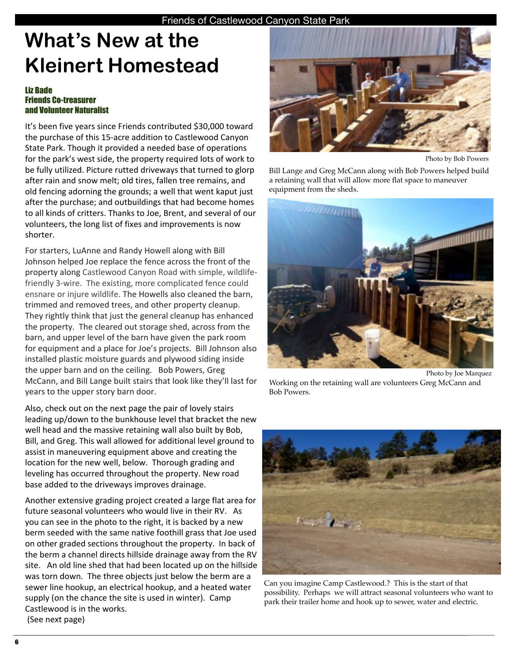### **What's New at the Kleinert Homestead**

### Liz Bade Friends Co-treasurer and Volunteer Naturalist

It's been five years since Friends contributed \$30,000 toward the purchase of this 15-acre addition to Castlewood Canyon State Park. Though it provided a needed base of operations for the park's west side, the property required lots of work to be fully utilized. Picture rutted driveways that turned to glorp after rain and snow melt; old tires, fallen tree remains, and old fencing adorning the grounds; a well that went kaput just after the purchase; and outbuildings that had become homes to all kinds of critters. Thanks to Joe, Brent, and several of our volunteers, the long list of fixes and improvements is now shorter.

For starters, LuAnne and Randy Howell along with Bill Johnson helped Joe replace the fence across the front of the property along Castlewood Canyon Road with simple, wildlifefriendly 3-wire. The existing, more complicated fence could ensnare or injure wildlife. The Howells also cleaned the barn, trimmed and removed trees, and other property cleanup. They rightly think that just the general cleanup has enhanced the property. The cleared out storage shed, across from the barn, and upper level of the barn have given the park room for equipment and a place for Joe's projects. Bill Johnson also installed plastic moisture guards and plywood siding inside the upper barn and on the ceiling. Bob Powers, Greg McCann, and Bill Lange built stairs that look like they'll last for years to the upper story barn door.

Also, check out on the next page the pair of lovely stairs leading up/down to the bunkhouse level that bracket the new well head and the massive retaining wall also built by Bob, Bill, and Greg. This wall allowed for additional level ground to assist in maneuvering equipment above and creating the location for the new well, below. Thorough grading and leveling has occurred throughout the property. New road base added to the driveways improves drainage.

Another extensive grading project created a large flat area for future seasonal volunteers who would live in their RV. As you can see in the photo to the right, it is backed by a new berm seeded with the same native foothill grass that Joe used on other graded sections throughout the property. In back of the berm a channel directs hillside drainage away from the RV site. An old line shed that had been located up on the hillside was torn down. The three objects just below the berm are a sewer line hookup, an electrical hookup, and a heated water supply (on the chance the site is used in winter). Camp Castlewood is in the works. (See next page)



Photo by Bob Powers

Bill Lange and Greg McCann along with Bob Powers helped build a retaining wall that will allow more flat space to maneuver equipment from the sheds.



Photo by Joe Marquez Working on the retaining wall are volunteers Greg McCann and Bob Powers.



Can you imagine Camp Castlewood.? This is the start of that possibility. Perhaps we will attract seasonal volunteers who want to park their trailer home and hook up to sewer, water and electric.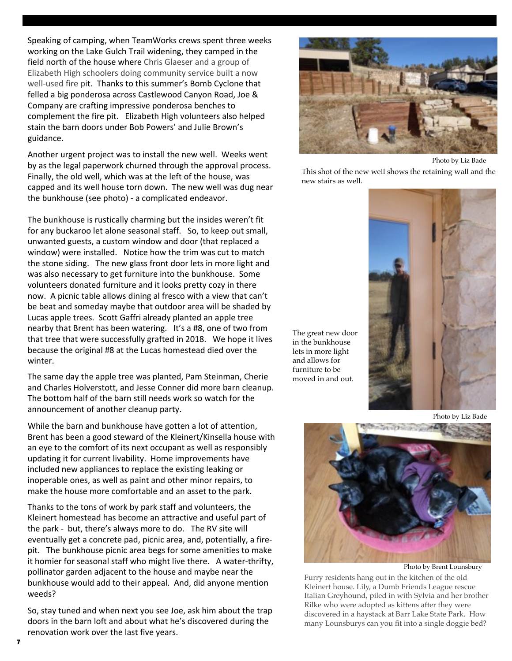Speaking of camping, when TeamWorks crews spent three weeks working on the Lake Gulch Trail widening, they camped in the field north of the house where Chris Glaeser and a group of Elizabeth High schoolers doing community service built a now well-used fire pit. Thanks to this summer's Bomb Cyclone that felled a big ponderosa across Castlewood Canyon Road, Joe & Company are crafting impressive ponderosa benches to complement the fire pit. Elizabeth High volunteers also helped stain the barn doors under Bob Powers' and Julie Brown's guidance.

Another urgent project was to install the new well. Weeks went by as the legal paperwork churned through the approval process. Finally, the old well, which was at the left of the house, was capped and its well house torn down. The new well was dug near the bunkhouse (see photo) - a complicated endeavor.

The bunkhouse is rustically charming but the insides weren't fit for any buckaroo let alone seasonal staff. So, to keep out small, unwanted guests, a custom window and door (that replaced a window) were installed. Notice how the trim was cut to match the stone siding. The new glass front door lets in more light and was also necessary to get furniture into the bunkhouse. Some volunteers donated furniture and it looks pretty cozy in there now. A picnic table allows dining al fresco with a view that can't be beat and someday maybe that outdoor area will be shaded by Lucas apple trees. Scott Gaffri already planted an apple tree nearby that Brent has been watering. It's a #8, one of two from that tree that were successfully grafted in 2018. We hope it lives because the original #8 at the Lucas homestead died over the winter.

The same day the apple tree was planted, Pam Steinman, Cherie and Charles Holverstott, and Jesse Conner did more barn cleanup. The bottom half of the barn still needs work so watch for the announcement of another cleanup party.

While the barn and bunkhouse have gotten a lot of attention, Brent has been a good steward of the Kleinert/Kinsella house with an eye to the comfort of its next occupant as well as responsibly updating it for current livability. Home improvements have included new appliances to replace the existing leaking or inoperable ones, as well as paint and other minor repairs, to make the house more comfortable and an asset to the park.

Thanks to the tons of work by park staff and volunteers, the Kleinert homestead has become an attractive and useful part of the park - but, there's always more to do. The RV site will eventually get a concrete pad, picnic area, and, potentially, a firepit. The bunkhouse picnic area begs for some amenities to make it homier for seasonal staff who might live there. A water-thrifty, pollinator garden adjacent to the house and maybe near the bunkhouse would add to their appeal. And, did anyone mention weeds?

So, stay tuned and when next you see Joe, ask him about the trap doors in the barn loft and about what he's discovered during the renovation work over the last five years.



Photo by Liz Bade

This shot of the new well shows the retaining wall and the new stairs as well.

The great new door in the bunkhouse lets in more light and allows for furniture to be moved in and out.



Photo by Liz Bade



Photo by Brent Lounsbury

Furry residents hang out in the kitchen of the old Kleinert house. Lily, a Dumb Friends League rescue Italian Greyhound, piled in with Sylvia and her brother Rilke who were adopted as kittens after they were discovered in a haystack at Barr Lake State Park. How many Lounsburys can you fit into a single doggie bed?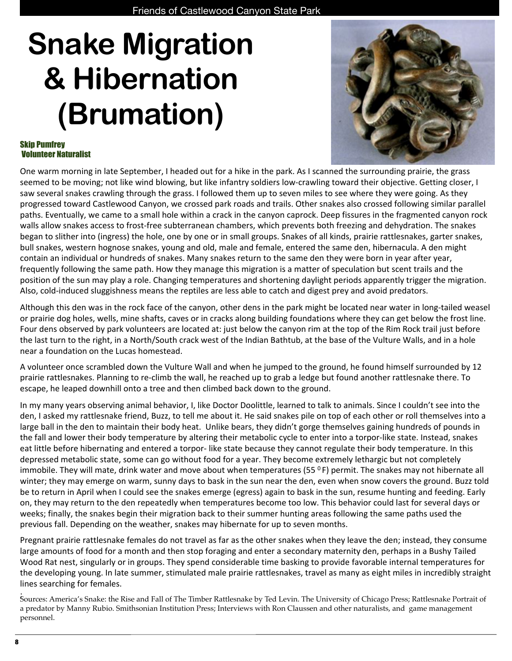### Friends of Castlewood Canyon State Park **Snake Migration & Hibernation (Brumation)**



### Skip Pumfrey Volunteer Naturalist

One warm morning in late September, I headed out for a hike in the park. As I scanned the surrounding prairie, the grass seemed to be moving; not like wind blowing, but like infantry soldiers low-crawling toward their objective. Getting closer, I saw several snakes crawling through the grass. I followed them up to seven miles to see where they were going. As they progressed toward Castlewood Canyon, we crossed park roads and trails. Other snakes also crossed following similar parallel paths. Eventually, we came to a small hole within a crack in the canyon caprock. Deep fissures in the fragmented canyon rock walls allow snakes access to frost-free subterranean chambers, which prevents both freezing and dehydration. The snakes began to slither into (ingress) the hole, one by one or in small groups. Snakes of all kinds, prairie rattlesnakes, garter snakes, bull snakes, western hognose snakes, young and old, male and female, entered the same den, hibernacula. A den might contain an individual or hundreds of snakes. Many snakes return to the same den they were born in year after year, frequently following the same path. How they manage this migration is a matter of speculation but scent trails and the position of the sun may play a role. Changing temperatures and shortening daylight periods apparently trigger the migration. Also, cold-induced sluggishness means the reptiles are less able to catch and digest prey and avoid predators.

Although this den was in the rock face of the canyon, other dens in the park might be located near water in long-tailed weasel or prairie dog holes, wells, mine shafts, caves or in cracks along building foundations where they can get below the frost line. Four dens observed by park volunteers are located at: just below the canyon rim at the top of the Rim Rock trail just before the last turn to the right, in a North/South crack west of the Indian Bathtub, at the base of the Vulture Walls, and in a hole near a foundation on the Lucas homestead. 

A volunteer once scrambled down the Vulture Wall and when he jumped to the ground, he found himself surrounded by 12 prairie rattlesnakes. Planning to re-climb the wall, he reached up to grab a ledge but found another rattlesnake there. To escape, he leaped downhill onto a tree and then climbed back down to the ground.

In my many years observing animal behavior, I, like Doctor Doolittle, learned to talk to animals. Since I couldn't see into the den, I asked my rattlesnake friend, Buzz, to tell me about it. He said snakes pile on top of each other or roll themselves into a large ball in the den to maintain their body heat. Unlike bears, they didn't gorge themselves gaining hundreds of pounds in the fall and lower their body temperature by altering their metabolic cycle to enter into a torpor-like state. Instead, snakes eat little before hibernating and entered a torpor- like state because they cannot regulate their body temperature. In this depressed metabolic state, some can go without food for a year. They become extremely lethargic but not completely immobile. They will mate, drink water and move about when temperatures (55  $^{\circ}$  F) permit. The snakes may not hibernate all winter; they may emerge on warm, sunny days to bask in the sun near the den, even when snow covers the ground. Buzz told be to return in April when I could see the snakes emerge (egress) again to bask in the sun, resume hunting and feeding. Early on, they may return to the den repeatedly when temperatures become too low. This behavior could last for several days or weeks; finally, the snakes begin their migration back to their summer hunting areas following the same paths used the previous fall. Depending on the weather, snakes may hibernate for up to seven months.

Pregnant prairie rattlesnake females do not travel as far as the other snakes when they leave the den; instead, they consume large amounts of food for a month and then stop foraging and enter a secondary maternity den, perhaps in a Bushy Tailed Wood Rat nest, singularly or in groups. They spend considerable time basking to provide favorable internal temperatures for the developing young. In late summer, stimulated male prairie rattlesnakes, travel as many as eight miles in incredibly straight lines searching for females.

: Sources: America's Snake: the Rise and Fall of The Timber Rattlesnake by Ted Levin. The University of Chicago Press; Rattlesnake Portrait of a predator by Manny Rubio. Smithsonian Institution Press; Interviews with Ron Claussen and other naturalists, and game management personnel.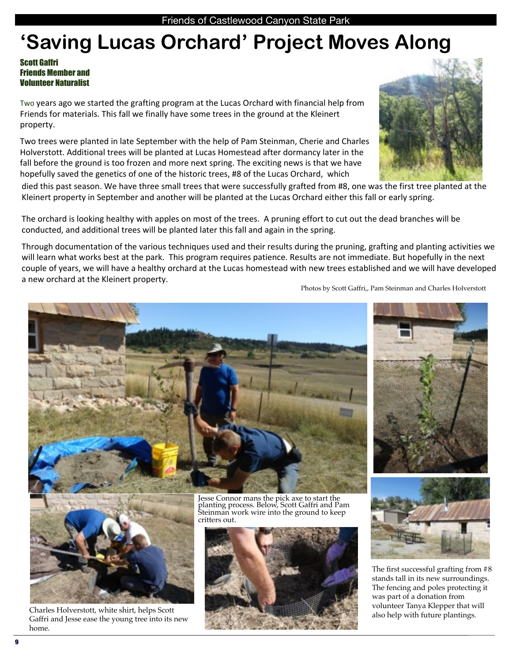### **'Saving Lucas Orchard' Project Moves Along**

### Scott Gaffri Friends Member and Volunteer Naturalist

Two years ago we started the grafting program at the Lucas Orchard with financial help from Friends for materials. This fall we finally have some trees in the ground at the Kleinert property. 

Two trees were planted in late September with the help of Pam Steinman, Cherie and Charles Holverstott. Additional trees will be planted at Lucas Homestead after dormancy later in the fall before the ground is too frozen and more next spring. The exciting news is that we have hopefully saved the genetics of one of the historic trees, #8 of the Lucas Orchard, which

died this past season. We have three small trees that were successfully grafted from #8, one was the first tree planted at the Kleinert property in September and another will be planted at the Lucas Orchard either this fall or early spring.

The orchard is looking healthy with apples on most of the trees. A pruning effort to cut out the dead branches will be conducted, and additional trees will be planted later this fall and again in the spring.

Through documentation of the various techniques used and their results during the pruning, grafting and planting activities we will learn what works best at the park. This program requires patience. Results are not immediate. But hopefully in the next couple of years, we will have a healthy orchard at the Lucas homestead with new trees established and we will have developed a new orchard at the Kleinert property.

Photos by Scott Gaffri,, Pam Steinman and Charles Holverstott

Jesse Connor mans the pick axe to start the planting process. Below, Scott Gaffri and Pam Steinman work wire into the ground to keep critters out.



Charles Holverstott, white shirt, helps Scott Gaffri and Jesse ease the young tree into its new home.



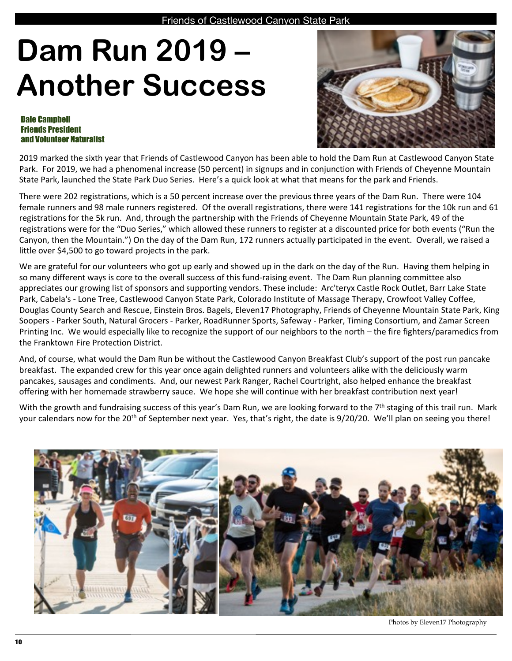# **Dam Run 2019 – Another Success**

#### Dale Campbell Friends President and Volunteer Naturalist



2019 marked the sixth year that Friends of Castlewood Canyon has been able to hold the Dam Run at Castlewood Canyon State Park. For 2019, we had a phenomenal increase (50 percent) in signups and in conjunction with Friends of Cheyenne Mountain State Park, launched the State Park Duo Series. Here's a quick look at what that means for the park and Friends.

There were 202 registrations, which is a 50 percent increase over the previous three years of the Dam Run. There were 104 female runners and 98 male runners registered. Of the overall registrations, there were 141 registrations for the 10k run and 61 registrations for the 5k run. And, through the partnership with the Friends of Cheyenne Mountain State Park, 49 of the registrations were for the "Duo Series," which allowed these runners to register at a discounted price for both events ("Run the Canyon, then the Mountain.") On the day of the Dam Run, 172 runners actually participated in the event. Overall, we raised a little over \$4,500 to go toward projects in the park.

We are grateful for our volunteers who got up early and showed up in the dark on the day of the Run. Having them helping in so many different ways is core to the overall success of this fund-raising event. The Dam Run planning committee also appreciates our growing list of sponsors and supporting vendors. These include: Arc'teryx Castle Rock Outlet, Barr Lake State Park, Cabela's - Lone Tree, Castlewood Canyon State Park, Colorado Institute of Massage Therapy, Crowfoot Valley Coffee, Douglas County Search and Rescue, Einstein Bros. Bagels, Eleven17 Photography, Friends of Cheyenne Mountain State Park, King Soopers - Parker South, Natural Grocers - Parker, RoadRunner Sports, Safeway - Parker, Timing Consortium, and Zamar Screen Printing Inc. We would especially like to recognize the support of our neighbors to the north – the fire fighters/paramedics from the Franktown Fire Protection District.

And, of course, what would the Dam Run be without the Castlewood Canyon Breakfast Club's support of the post run pancake breakfast. The expanded crew for this year once again delighted runners and volunteers alike with the deliciously warm pancakes, sausages and condiments. And, our newest Park Ranger, Rachel Courtright, also helped enhance the breakfast offering with her homemade strawberry sauce. We hope she will continue with her breakfast contribution next year!

With the growth and fundraising success of this year's Dam Run, we are looking forward to the  $7<sup>th</sup>$  staging of this trail run. Mark your calendars now for the 20<sup>th</sup> of September next year. Yes, that's right, the date is 9/20/20. We'll plan on seeing you there!



Photos by Eleven17 Photography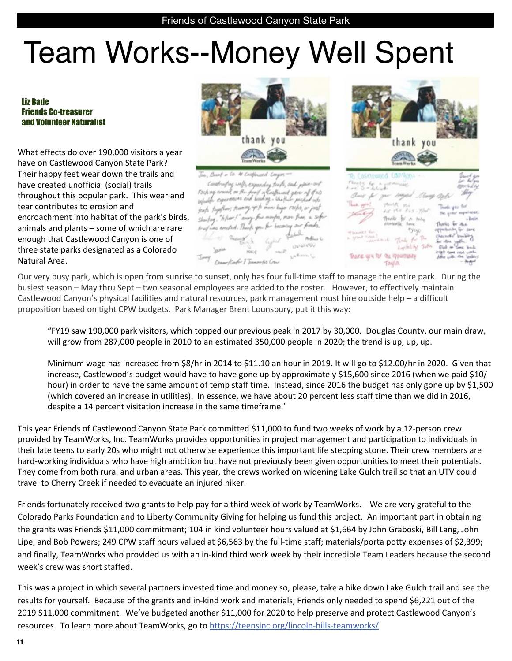# Team Works--Money Well Spent

#### Liz Bade Friends Co-treasurer and Volunteer Naturalist

What effects do over 190,000 visitors a year have on Castlewood Canyon State Park? Their happy feet wear down the trails and have created unofficial (social) trails throughout this popular park. This wear and tear contributes to erosion and encroachment into habitat of the park's birds, animals and plants  $-$  some of which are rare enough that Castlewood Canyon is one of three state parks designated as a Colorado Natural Area.



throstroy wells, expanding trade, and <sub>d</sub>epar-an of a Carburat experiences and keeping. Useful feats together; teaming up to move keeps rayles, or just every for months, more than a sig u. "hher!



Our very busy park, which is open from sunrise to sunset, only has four full-time staff to manage the entire park. During the busiest season – May thru Sept – two seasonal employees are added to the roster. However, to effectively maintain Castlewood Canyon's physical facilities and natural resources, park management must hire outside help - a difficult proposition based on tight CPW budgets. Park Manager Brent Lounsbury, put it this way:

"FY19 saw 190,000 park visitors, which topped our previous peak in 2017 by 30,000. Douglas County, our main draw, will grow from 287,000 people in 2010 to an estimated 350,000 people in 2020; the trend is up, up, up.

Minimum wage has increased from \$8/hr in 2014 to \$11.10 an hour in 2019. It will go to \$12.00/hr in 2020. Given that increase, Castlewood's budget would have to have gone up by approximately \$15,600 since 2016 (when we paid \$10/ hour) in order to have the same amount of temp staff time. Instead, since 2016 the budget has only gone up by \$1,500 (which covered an increase in utilities). In essence, we have about 20 percent less staff time than we did in 2016, despite a 14 percent visitation increase in the same timeframe."

This year Friends of Castlewood Canyon State Park committed \$11,000 to fund two weeks of work by a 12-person crew provided by TeamWorks, Inc. TeamWorks provides opportunities in project management and participation to individuals in their late teens to early 20s who might not otherwise experience this important life stepping stone. Their crew members are hard-working individuals who have high ambition but have not previously been given opportunities to meet their potentials. They come from both rural and urban areas. This year, the crews worked on widening Lake Gulch trail so that an UTV could travel to Cherry Creek if needed to evacuate an injured hiker.

Friends fortunately received two grants to help pay for a third week of work by TeamWorks. We are very grateful to the Colorado Parks Foundation and to Liberty Community Giving for helping us fund this project. An important part in obtaining the grants was Friends \$11,000 commitment; 104 in kind volunteer hours valued at \$1,664 by John Graboski, Bill Lang, John Lipe, and Bob Powers; 249 CPW staff hours valued at \$6,563 by the full-time staff; materials/porta potty expenses of \$2,399; and finally, TeamWorks who provided us with an in-kind third work week by their incredible Team Leaders because the second week's crew was short staffed.

This was a project in which several partners invested time and money so, please, take a hike down Lake Gulch trail and see the results for yourself. Because of the grants and in-kind work and materials, Friends only needed to spend \$6,221 out of the 2019 \$11,000 commitment. We've budgeted another \$11,000 for 2020 to help preserve and protect Castlewood Canyon's resources. To learn more about TeamWorks, go to https://teensinc.org/lincoln-hills-teamworks/